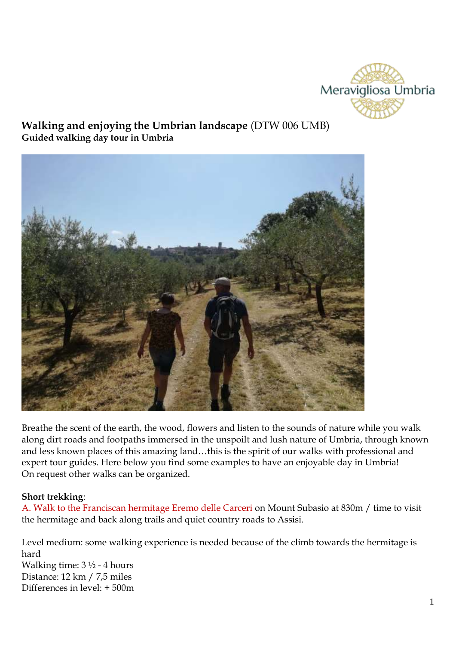

# **Walking and enjoying the Umbrian landscape** (DTW 006 UMB) **Guided walking day tour in Umbria**



Breathe the scent of the earth, the wood, flowers and listen to the sounds of nature while you walk along dirt roads and footpaths immersed in the unspoilt and lush nature of Umbria, through known and less known places of this amazing land…this is the spirit of our walks with professional and expert tour guides. Here below you find some examples to have an enjoyable day in Umbria! On request other walks can be organized.

### **Short trekking**:

A. Walk to the Franciscan hermitage Eremo delle Carceri on Mount Subasio at 830m / time to visit the hermitage and back along trails and quiet country roads to Assisi.

Level medium: some walking experience is needed because of the climb towards the hermitage is hard Walking time:  $3\frac{1}{2}$  - 4 hours Distance: 12 km / 7,5 miles Differences in level: + 500m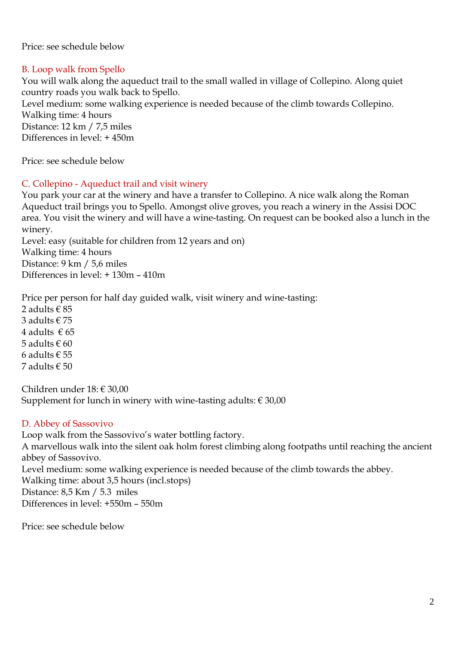Price: see schedule below

# B. Loop walk from Spello

You will walk along the aqueduct trail to the small walled in village of Collepino. Along quiet country roads you walk back to Spello.

Level medium: some walking experience is needed because of the climb towards Collepino. Walking time: 4 hours Distance: 12 km / 7,5 miles

Differences in level: + 450m

Price: see schedule below

# C. Collepino - Aqueduct trail and visit winery

You park your car at the winery and have a transfer to Collepino. A nice walk along the Roman Aqueduct trail brings you to Spello. Amongst olive groves, you reach a winery in the Assisi DOC area. You visit the winery and will have a wine-tasting. On request can be booked also a lunch in the winery.

Level: easy (suitable for children from 12 years and on) Walking time: 4 hours Distance: 9 km / 5,6 miles Differences in level: + 130m – 410m

Price per person for half day guided walk, visit winery and wine-tasting: 2 adults  $\in$  85 3 adults € 75 4 adults  $\in$  65 5 adults  $\in$  60 6 adults  $\epsilon$  55 7 adults € 50

Children under 18: € 30,00 Supplement for lunch in winery with wine-tasting adults:  $\in$  30,00

# D. Abbey of Sassovivo

Loop walk from the Sassovivo's water bottling factory. A marvellous walk into the silent oak holm forest climbing along footpaths until reaching the ancient abbey of Sassovivo. Level medium: some walking experience is needed because of the climb towards the abbey. Walking time: about 3,5 hours (incl.stops) Distance: 8,5 Km / 5.3 miles Differences in level: +550m – 550m

Price: see schedule below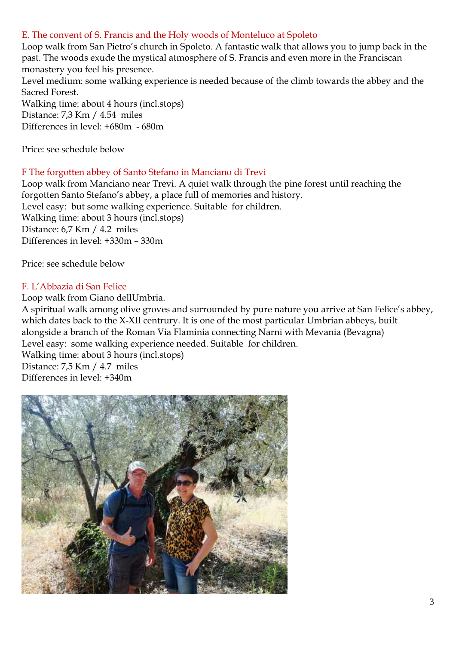## E. The convent of S. Francis and the Holy woods of Monteluco at Spoleto

Loop walk from San Pietro's church in Spoleto. A fantastic walk that allows you to jump back in the past. The woods exude the mystical atmosphere of S. Francis and even more in the Franciscan monastery you feel his presence.

Level medium: some walking experience is needed because of the climb towards the abbey and the Sacred Forest.

Walking time: about 4 hours (incl.stops) Distance: 7,3 Km / 4.54 miles Differences in level: +680m - 680m

Price: see schedule below

#### F The forgotten abbey of Santo Stefano in Manciano di Trevi

Loop walk from Manciano near Trevi. A quiet walk through the pine forest until reaching the forgotten Santo Stefano's abbey, a place full of memories and history. Level easy: but some walking experience. Suitable for children. Walking time: about 3 hours (incl.stops) Distance: 6,7 Km / 4.2 miles Differences in level: +330m – 330m

Price: see schedule below

### F. L'Abbazia di San Felice

Loop walk from Giano dellUmbria.

A spiritual walk among olive groves and surrounded by pure nature you arrive at San Felice's abbey, which dates back to the X-XII centrury. It is one of the most particular Umbrian abbeys, built alongside a branch of the Roman Via Flaminia connecting Narni with Mevania (Bevagna) Level easy: some walking experience needed. Suitable for children.

Walking time: about 3 hours (incl.stops) Distance: 7,5 Km / 4.7 miles Differences in level: +340m

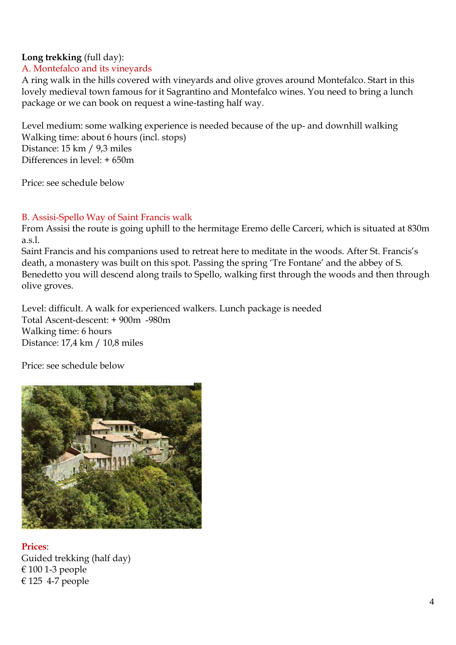# **Long trekking** (full day):

# A. Montefalco and its vineyards

A ring walk in the hills covered with vineyards and olive groves around Montefalco. Start in this lovely medieval town famous for it Sagrantino and Montefalco wines. You need to bring a lunch package or we can book on request a wine-tasting half way.

Level medium: some walking experience is needed because of the up- and downhill walking Walking time: about 6 hours (incl. stops) Distance: 15 km / 9,3 miles Differences in level:  $+650m$ 

Price: see schedule below

# B. Assisi-Spello Way of Saint Francis walk

From Assisi the route is going uphill to the hermitage Eremo delle Carceri, which is situated at 830m a.s.l.

Saint Francis and his companions used to retreat here to meditate in the woods. After St. Francis's death, a monastery was built on this spot. Passing the spring 'Tre Fontane' and the abbey of S. Benedetto you will descend along trails to Spello, walking first through the woods and then through olive groves.

Level: difficult. A walk for experienced walkers. Lunch package is needed Total Ascent-descent: + 900m -980m Walking time: 6 hours Distance: 17,4 km / 10,8 miles

Price: see schedule below



**Prices**:

Guided trekking (half day) € 100 1-3 people € 125 4-7 people